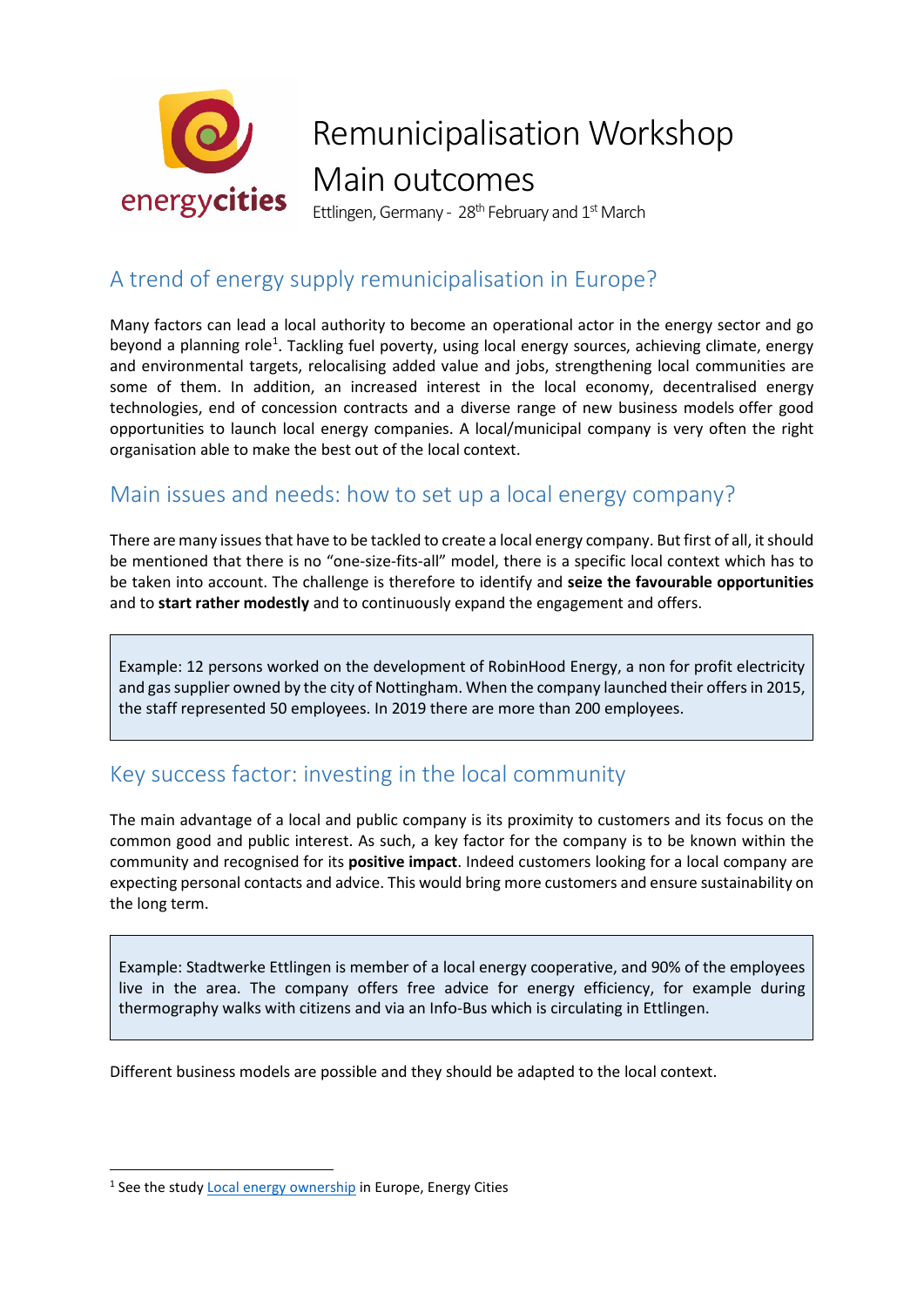

# Remunicipalisation Workshop Main outcomes

Ettlingen, Germany - 28<sup>th</sup> February and  $1<sup>st</sup>$  March

### A trend of energy supply remunicipalisation in Europe?

Many factors can lead a local authority to become an operational actor in the energy sector and go beyond a planning role<sup>[1](#page-0-0)</sup>. Tackling fuel poverty, using local energy sources, achieving climate, energy and environmental targets, relocalising added value and jobs, strengthening local communities are some of them. In addition, an increased interest in the local economy, decentralised energy technologies, end of concession contracts and a diverse range of new business models offer good opportunities to launch local energy companies. A local/municipal company is very often the right organisation able to make the best out of the local context.

### Main issues and needs: how to set up a local energy company?

There are many issues that have to be tackled to create a local energy company. But first of all, it should be mentioned that there is no "one-size-fits-all" model, there is a specific local context which has to be taken into account. The challenge is therefore to identify and **seize the favourable opportunities** and to **start rather modestly** and to continuously expand the engagement and offers.

Example: 12 persons worked on the development of RobinHood Energy, a non for profit electricity and gas supplier owned by the city of Nottingham. When the company launched their offers in 2015, the staff represented 50 employees. In 2019 there are more than 200 employees.

### Key success factor: investing in the local community

The main advantage of a local and public company is its proximity to customers and its focus on the common good and public interest. As such, a key factor for the company is to be known within the community and recognised for its **positive impact**. Indeed customers looking for a local company are expecting personal contacts and advice. This would bring more customers and ensure sustainability on the long term.

Example: Stadtwerke Ettlingen is member of a local energy cooperative, and 90% of the employees live in the area. The company offers free advice for energy efficiency, for example during thermography walks with citizens and via an Info-Bus which is circulating in Ettlingen.

Different business models are possible and they should be adapted to the local context.

<span id="page-0-0"></span><sup>&</sup>lt;sup>1</sup> See the study **Local energy ownership** in Europe, Energy Cities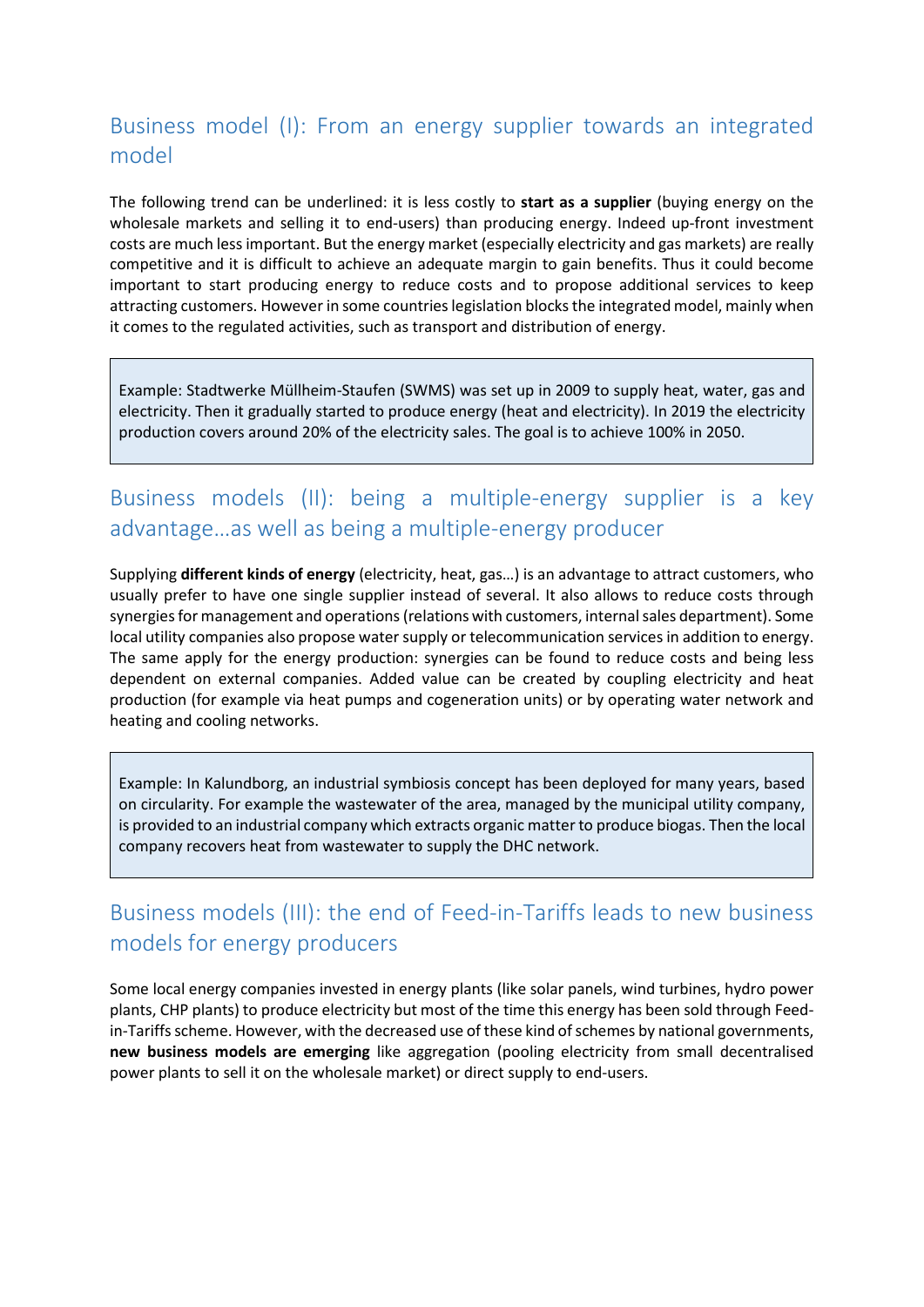### Business model (I): From an energy supplier towards an integrated model

The following trend can be underlined: it is less costly to **start as a supplier** (buying energy on the wholesale markets and selling it to end-users) than producing energy. Indeed up-front investment costs are much less important. But the energy market (especially electricity and gas markets) are really competitive and it is difficult to achieve an adequate margin to gain benefits. Thus it could become important to start producing energy to reduce costs and to propose additional services to keep attracting customers. However in some countries legislation blocks the integrated model, mainly when it comes to the regulated activities, such as transport and distribution of energy.

Example: Stadtwerke Müllheim-Staufen (SWMS) was set up in 2009 to supply heat, water, gas and electricity. Then it gradually started to produce energy (heat and electricity). In 2019 the electricity production covers around 20% of the electricity sales. The goal is to achieve 100% in 2050.

### Business models (II): being a multiple-energy supplier is a key advantage…as well as being a multiple-energy producer

Supplying **different kinds of energy** (electricity, heat, gas…) is an advantage to attract customers, who usually prefer to have one single supplier instead of several. It also allows to reduce costs through synergies for management and operations (relations with customers, internal sales department). Some local utility companies also propose water supply or telecommunication services in addition to energy. The same apply for the energy production: synergies can be found to reduce costs and being less dependent on external companies. Added value can be created by coupling electricity and heat production (for example via heat pumps and cogeneration units) or by operating water network and heating and cooling networks.

Example: In Kalundborg, an industrial symbiosis concept has been deployed for many years, based on circularity. For example the wastewater of the area, managed by the municipal utility company, is provided to an industrial company which extracts organic matter to produce biogas. Then the local company recovers heat from wastewater to supply the DHC network.

### Business models (III): the end of Feed-in-Tariffs leads to new business models for energy producers

Some local energy companies invested in energy plants (like solar panels, wind turbines, hydro power plants, CHP plants) to produce electricity but most of the time this energy has been sold through Feedin-Tariffs scheme. However, with the decreased use of these kind of schemes by national governments, **new business models are emerging** like aggregation (pooling electricity from small decentralised power plants to sell it on the wholesale market) or direct supply to end-users.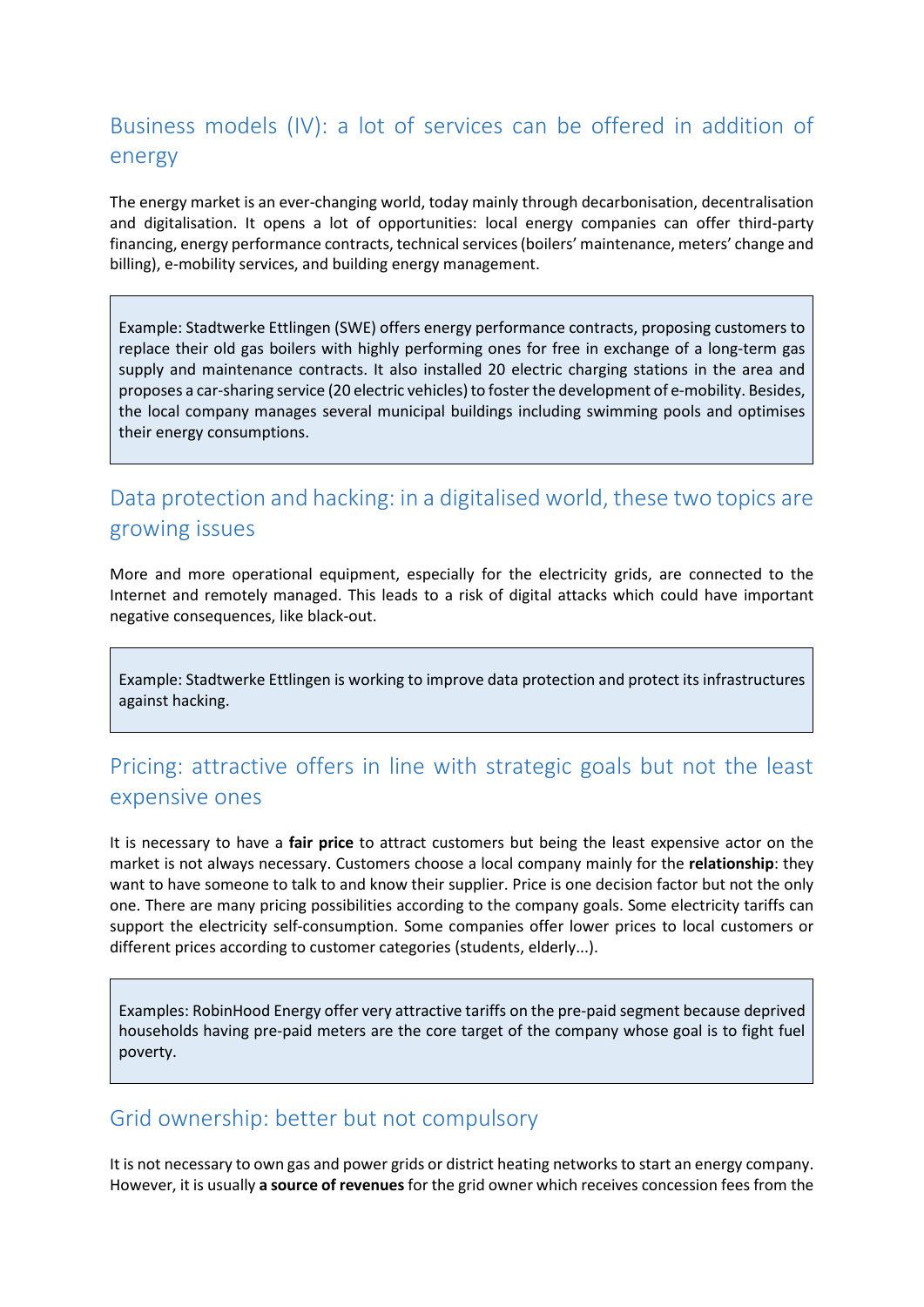### Business models (IV): a lot of services can be offered in addition of energy

The energy market is an ever-changing world, today mainly through decarbonisation, decentralisation and digitalisation. It opens a lot of opportunities: local energy companies can offer third-party financing, energy performance contracts, technical services (boilers' maintenance, meters' change and billing), e-mobility services, and building energy management.

Example: Stadtwerke Ettlingen (SWE) offers energy performance contracts, proposing customers to replace their old gas boilers with highly performing ones for free in exchange of a long-term gas supply and maintenance contracts. It also installed 20 electric charging stations in the area and proposes a car-sharing service (20 electric vehicles) to foster the development of e-mobility. Besides, the local company manages several municipal buildings including swimming pools and optimises their energy consumptions.

### Data protection and hacking: in a digitalised world, these two topics are growing issues

More and more operational equipment, especially for the electricity grids, are connected to the Internet and remotely managed. This leads to a risk of digital attacks which could have important negative consequences, like black-out.

Example: Stadtwerke Ettlingen is working to improve data protection and protect its infrastructures against hacking.

### Pricing: attractive offers in line with strategic goals but not the least expensive ones

It is necessary to have a **fair price** to attract customers but being the least expensive actor on the market is not always necessary. Customers choose a local company mainly for the **relationship**: they want to have someone to talk to and know their supplier. Price is one decision factor but not the only one. There are many pricing possibilities according to the company goals. Some electricity tariffs can support the electricity self-consumption. Some companies offer lower prices to local customers or different prices according to customer categories (students, elderly...).

Examples: RobinHood Energy offer very attractive tariffs on the pre-paid segment because deprived households having pre-paid meters are the core target of the company whose goal is to fight fuel poverty.

#### Grid ownership: better but not compulsory

It is not necessary to own gas and power grids or district heating networks to start an energy company. However, it is usually **a source of revenues** for the grid owner which receives concession fees from the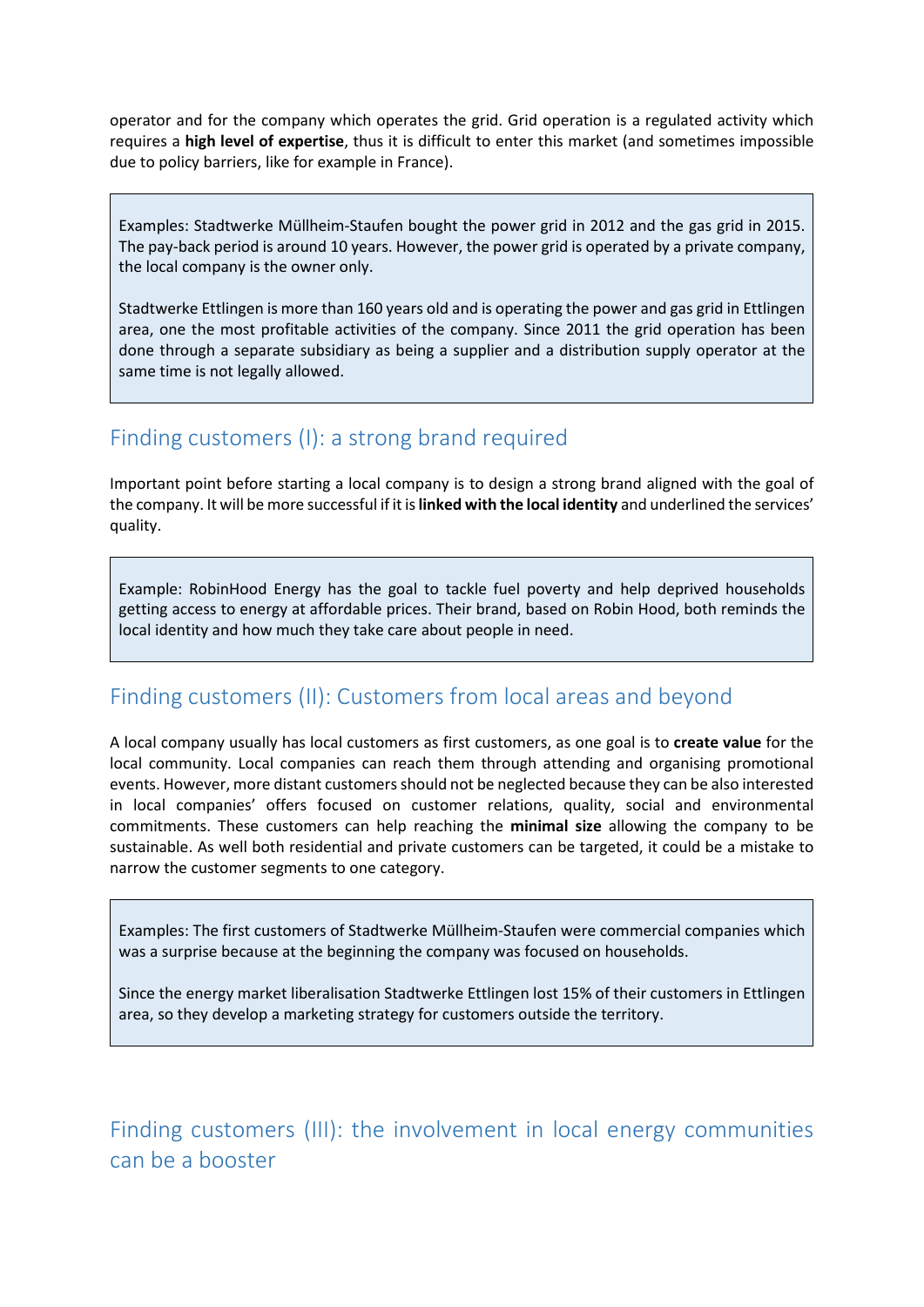operator and for the company which operates the grid. Grid operation is a regulated activity which requires a **high level of expertise**, thus it is difficult to enter this market (and sometimes impossible due to policy barriers, like for example in France).

Examples: Stadtwerke Müllheim-Staufen bought the power grid in 2012 and the gas grid in 2015. The pay-back period is around 10 years. However, the power grid is operated by a private company, the local company is the owner only.

Stadtwerke Ettlingen is more than 160 years old and is operating the power and gas grid in Ettlingen area, one the most profitable activities of the company. Since 2011 the grid operation has been done through a separate subsidiary as being a supplier and a distribution supply operator at the same time is not legally allowed.

### Finding customers (I): a strong brand required

Important point before starting a local company is to design a strong brand aligned with the goal of the company. It will be more successful if it is **linked with the local identity** and underlined the services' quality.

Example: RobinHood Energy has the goal to tackle fuel poverty and help deprived households getting access to energy at affordable prices. Their brand, based on Robin Hood, both reminds the local identity and how much they take care about people in need.

### Finding customers (II): Customers from local areas and beyond

A local company usually has local customers as first customers, as one goal is to **create value** for the local community. Local companies can reach them through attending and organising promotional events. However, more distant customers should not be neglected because they can be also interested in local companies' offers focused on customer relations, quality, social and environmental commitments. These customers can help reaching the **minimal size** allowing the company to be sustainable. As well both residential and private customers can be targeted, it could be a mistake to narrow the customer segments to one category.

Examples: The first customers of Stadtwerke Müllheim-Staufen were commercial companies which was a surprise because at the beginning the company was focused on households.

Since the energy market liberalisation Stadtwerke Ettlingen lost 15% of their customers in Ettlingen area, so they develop a marketing strategy for customers outside the territory.

Finding customers (III): the involvement in local energy communities can be a booster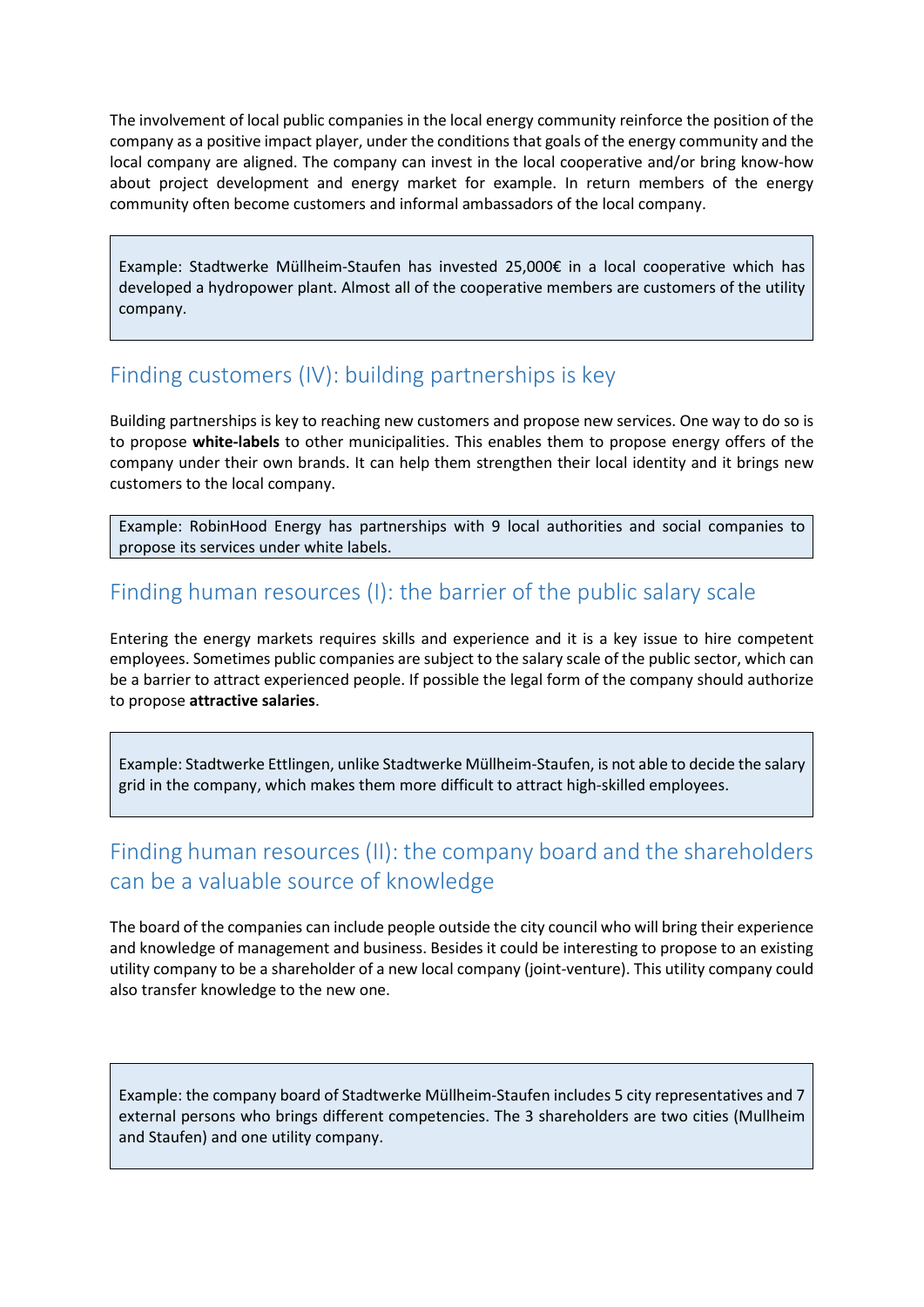The involvement of local public companies in the local energy community reinforce the position of the company as a positive impact player, under the conditions that goals of the energy community and the local company are aligned. The company can invest in the local cooperative and/or bring know-how about project development and energy market for example. In return members of the energy community often become customers and informal ambassadors of the local company.

Example: Stadtwerke Müllheim-Staufen has invested 25,000€ in a local cooperative which has developed a hydropower plant. Almost all of the cooperative members are customers of the utility company.

### Finding customers (IV): building partnerships is key

Building partnerships is key to reaching new customers and propose new services. One way to do so is to propose **white-labels** to other municipalities. This enables them to propose energy offers of the company under their own brands. It can help them strengthen their local identity and it brings new customers to the local company.

Example: RobinHood Energy has partnerships with 9 local authorities and social companies to propose its services under white labels.

### Finding human resources (I): the barrier of the public salary scale

Entering the energy markets requires skills and experience and it is a key issue to hire competent employees. Sometimes public companies are subject to the salary scale of the public sector, which can be a barrier to attract experienced people. If possible the legal form of the company should authorize to propose **attractive salaries**.

Example: Stadtwerke Ettlingen, unlike Stadtwerke Müllheim-Staufen, is not able to decide the salary grid in the company, which makes them more difficult to attract high-skilled employees.

### Finding human resources (II): the company board and the shareholders can be a valuable source of knowledge

The board of the companies can include people outside the city council who will bring their experience and knowledge of management and business. Besides it could be interesting to propose to an existing utility company to be a shareholder of a new local company (joint-venture). This utility company could also transfer knowledge to the new one.

Example: the company board of Stadtwerke Müllheim-Staufen includes 5 city representatives and 7 external persons who brings different competencies. The 3 shareholders are two cities (Mullheim and Staufen) and one utility company.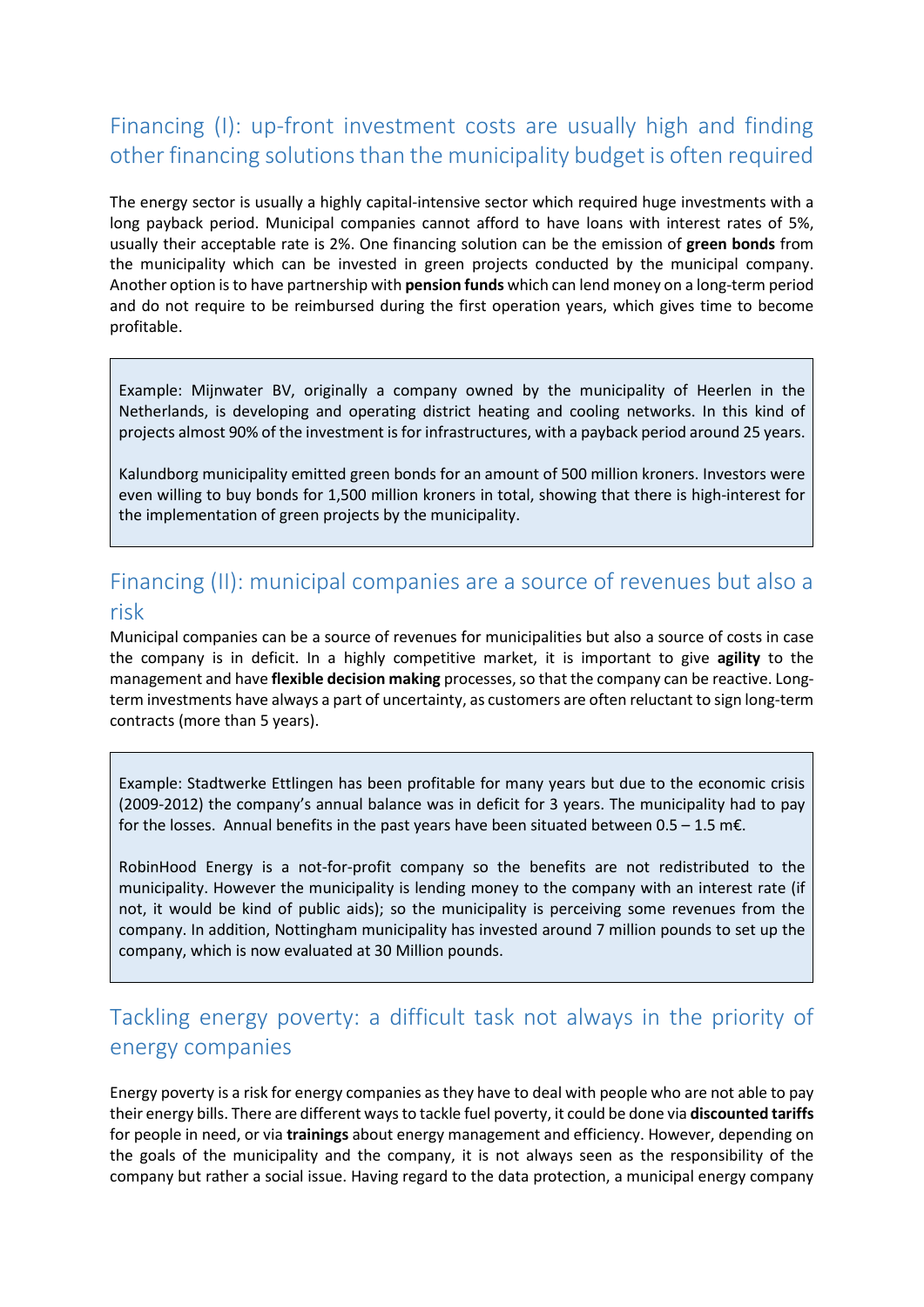### Financing (I): up-front investment costs are usually high and finding other financing solutions than the municipality budget is often required

The energy sector is usually a highly capital-intensive sector which required huge investments with a long payback period. Municipal companies cannot afford to have loans with interest rates of 5%, usually their acceptable rate is 2%. One financing solution can be the emission of **green bonds** from the municipality which can be invested in green projects conducted by the municipal company. Another option is to have partnership with **pension funds** which can lend money on a long-term period and do not require to be reimbursed during the first operation years, which gives time to become profitable.

Example: Mijnwater BV, originally a company owned by the municipality of Heerlen in the Netherlands, is developing and operating district heating and cooling networks. In this kind of projects almost 90% of the investment is for infrastructures, with a payback period around 25 years.

Kalundborg municipality emitted green bonds for an amount of 500 million kroners. Investors were even willing to buy bonds for 1,500 million kroners in total, showing that there is high-interest for the implementation of green projects by the municipality.

## Financing (II): municipal companies are a source of revenues but also a

#### risk

Municipal companies can be a source of revenues for municipalities but also a source of costs in case the company is in deficit. In a highly competitive market, it is important to give **agility** to the management and have **flexible decision making** processes, so that the company can be reactive. Longterm investments have always a part of uncertainty, as customers are often reluctant to sign long-term contracts (more than 5 years).

Example: Stadtwerke Ettlingen has been profitable for many years but due to the economic crisis (2009-2012) the company's annual balance was in deficit for 3 years. The municipality had to pay for the losses. Annual benefits in the past years have been situated between  $0.5 - 1.5$  m $\epsilon$ .

RobinHood Energy is a not-for-profit company so the benefits are not redistributed to the municipality. However the municipality is lending money to the company with an interest rate (if not, it would be kind of public aids); so the municipality is perceiving some revenues from the company. In addition, Nottingham municipality has invested around 7 million pounds to set up the company, which is now evaluated at 30 Million pounds.

### Tackling energy poverty: a difficult task not always in the priority of energy companies

Energy poverty is a risk for energy companies as they have to deal with people who are not able to pay their energy bills. There are different ways to tackle fuel poverty, it could be done via **discounted tariffs** for people in need, or via **trainings** about energy management and efficiency. However, depending on the goals of the municipality and the company, it is not always seen as the responsibility of the company but rather a social issue. Having regard to the data protection, a municipal energy company